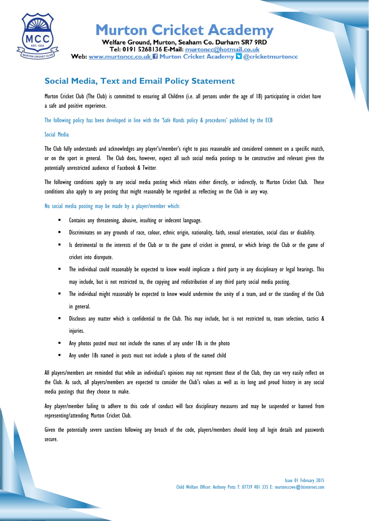

## **Murton Cricket Academy**

Welfare Ground, Murton, Seaham Co. Durham SR7 9RD Tel: 0191 5268136 E-Mail: murtoncc@hotmail.co.uk Web: www.murtoncc.co.uk ii Murton Cricket Academy & @cricketmurtoncc

### **Social Media, Text and Email Policy Statement**

Murton Cricket Club (The Club) is committed to ensuring all Children (i.e. all persons under the age of 18) participating in cricket have a safe and positive experience.

The following policy has been developed in line with the 'Safe Hands policy & procedures' published by the ECB

#### Social Media

The Club fully understands and acknowledges any player's/member's right to pass reasonable and considered comment on a specific match, or on the sport in general. The Club does, however, expect all such social media postings to be constructive and relevant given the potentially unrestricted audience of Facebook & Twitter.

The following conditions apply to any social media posting which relates either directly, or indirectly, to Murton Cricket Club. These conditions also apply to any posting that might reasonably be regarded as reflecting on the Club in any way.

No social media posting may be made by a player/member which:

- Contains any threatening, abusive, insulting or indecent language.
- Discriminates on any grounds of race, colour, ethnic origin, nationality, faith, sexual orientation, social class or disability.
- Is detrimental to the interests of the Club or to the game of cricket in general, or which brings the Club or the game of cricket into disrepute.
- The individual could reasonably be expected to know would implicate a third party in any disciplinary or legal hearings. This may include, but is not restricted to, the copying and redistribution of any third party social media posting.
- The individual might reasonably be expected to know would undermine the unity of a team, and or the standing of the Club in general.
- Discloses any matter which is confidential to the Club. This may include, but is not restricted to, team selection, tactics & injuries.
- Any photos posted must not include the names of any under 18s in the photo
- Any under 18s named in posts must not include a photo of the named child

All players/members are reminded that while an individual's opinions may not represent those of the Club, they can very easily reflect on the Club. As such, all players/members are expected to consider the Club's values as well as its long and proud history in any social media postings that they choose to make.

Any player/member failing to adhere to this code of conduct will face disciplinary measures and may be suspended or banned from representing/attending Murton Cricket Club.

Given the potentially severe sanctions following any breach of the code, players/members should keep all login details and passwords secure.